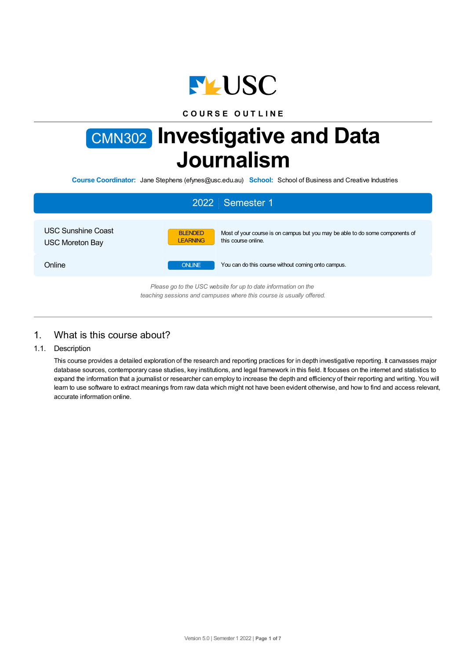

## **C O U R S E O U T L I N E**

# CMN302 **Investigative and Data Journalism**

**Course Coordinator:** Jane Stephens (efynes@usc.edu.au) **School:** School of Business and Creative Industries

|                                                     | 2022 Semester 1                                                                                                                           |
|-----------------------------------------------------|-------------------------------------------------------------------------------------------------------------------------------------------|
| <b>USC Sunshine Coast</b><br><b>USC Moreton Bay</b> | <b>BLENDED</b><br>Most of your course is on campus but you may be able to do some components of<br><b>LEARNING</b><br>this course online. |
| Online                                              | <b>ONLINE</b><br>You can do this course without coming onto campus.                                                                       |
|                                                     | Please go to the USC website for up to date information on the<br>teaching sessions and campuses where this course is usually offered.    |

# 1. What is this course about?

## 1.1. Description

This course provides a detailed exploration of the research and reporting practices for in depth investigative reporting. It canvasses major database sources, contemporary case studies, key institutions, and legal framework in this field. It focuses on the internet and statistics to expand the information that a journalist or researcher can employ to increase the depth and efficiency of their reporting and writing. You will learn to use software to extract meanings from raw data which might not have been evident otherwise, and how to find and access relevant, accurate information online.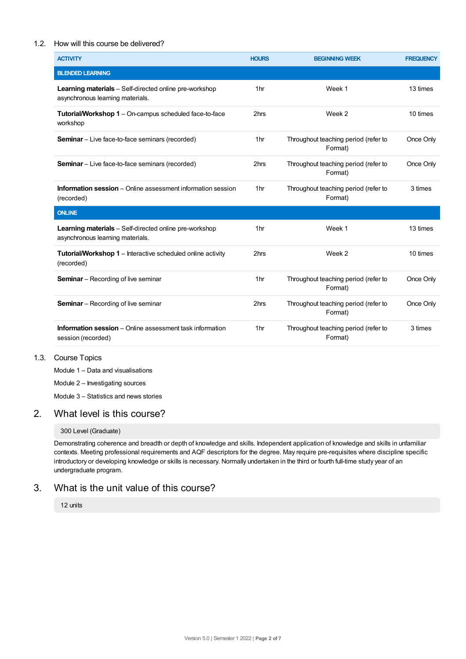## 1.2. How will this course be delivered?

| <b>ACTIVITY</b>                                                                                   | <b>HOURS</b>    | <b>BEGINNING WEEK</b>                           | <b>FREQUENCY</b> |
|---------------------------------------------------------------------------------------------------|-----------------|-------------------------------------------------|------------------|
| <b>BLENDED LEARNING</b>                                                                           |                 |                                                 |                  |
| <b>Learning materials</b> – Self-directed online pre-workshop<br>asynchronous learning materials. | 1 <sub>hr</sub> | Week 1                                          | 13 times         |
| Tutorial/Workshop 1 - On-campus scheduled face-to-face<br>workshop                                | 2hrs            | Week 2                                          | 10 times         |
| <b>Seminar</b> - Live face-to-face seminars (recorded)                                            | 1 <sub>hr</sub> | Throughout teaching period (refer to<br>Format) | Once Only        |
| <b>Seminar</b> – Live face-to-face seminars (recorded)                                            | 2hrs            | Throughout teaching period (refer to<br>Format) | Once Only        |
| <b>Information session</b> – Online assessment information session<br>(recorded)                  | 1 <sub>hr</sub> | Throughout teaching period (refer to<br>Format) | 3 times          |
| <b>ONLINE</b>                                                                                     |                 |                                                 |                  |
| <b>Learning materials</b> - Self-directed online pre-workshop<br>asynchronous learning materials. | 1 <sub>hr</sub> | Week 1                                          | 13 times         |
| <b>Tutorial/Workshop 1</b> – Interactive scheduled online activity<br>(recorded)                  | 2hrs            | Week 2                                          | 10 times         |
| <b>Seminar</b> – Recording of live seminar                                                        | 1 <sub>hr</sub> | Throughout teaching period (refer to<br>Format) | Once Only        |
| <b>Seminar</b> – Recording of live seminar                                                        | 2hrs            | Throughout teaching period (refer to<br>Format) | Once Only        |
| <b>Information session</b> – Online assessment task information<br>session (recorded)             | 1 <sub>hr</sub> | Throughout teaching period (refer to<br>Format) | 3 times          |

## 1.3. Course Topics

Module 1 – Data and visualisations

Module 2 – Investigating sources

Module 3 – Statistics and news stories

## 2. What level is this course?

### 300 Level (Graduate)

Demonstrating coherence and breadth or depth of knowledge and skills. Independent application of knowledge and skills in unfamiliar contexts. Meeting professional requirements and AQF descriptors for the degree. May require pre-requisites where discipline specific introductory or developing knowledge or skills is necessary. Normally undertaken in the third or fourth full-time study year of an undergraduate program.

# 3. What is the unit value of this course?

12 units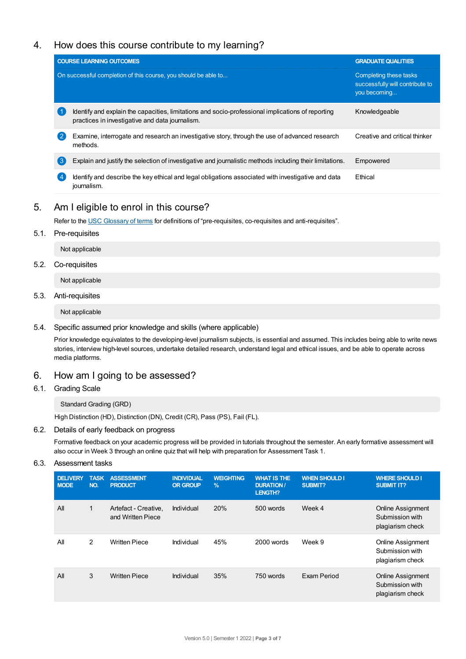# 4. How does this course contribute to my learning?

|                | <b>COURSE LEARNING OUTCOMES</b>                                                                                                                      | <b>GRADUATE QUALITIES</b>                                                 |
|----------------|------------------------------------------------------------------------------------------------------------------------------------------------------|---------------------------------------------------------------------------|
|                | On successful completion of this course, you should be able to                                                                                       | Completing these tasks<br>successfully will contribute to<br>you becoming |
|                | Identify and explain the capacities, limitations and socio-professional implications of reporting<br>practices in investigative and data journalism. | Knowledgeable                                                             |
| $^{\prime}$ 2  | Examine, interrogate and research an investigative story, through the use of advanced research<br>methods.                                           | Creative and critical thinker                                             |
| $\mathbf{3}$   | Explain and justify the selection of investigative and journalistic methods including their limitations.                                             | Empowered                                                                 |
| $\overline{4}$ | Identify and describe the key ethical and legal obligations associated with investigative and data<br>journalism.                                    | Ethical                                                                   |

# 5. Am Ieligible to enrol in this course?

Refer to the USC [Glossary](https://www.usc.edu.au/about/policies-and-procedures/glossary-of-terms-for-policy-and-procedures) of terms for definitions of "pre-requisites, co-requisites and anti-requisites".

## 5.1. Pre-requisites

Not applicable

## 5.2. Co-requisites

Not applicable

## 5.3. Anti-requisites

Not applicable

5.4. Specific assumed prior knowledge and skills (where applicable)

Prior knowledge equivalates to the developing-level journalism subjects, is essential and assumed. This includes being able to write news stories, interview high-level sources, undertake detailed research, understand legal and ethical issues, and be able to operate across media platforms.

## 6. How am Igoing to be assessed?

6.1. Grading Scale

### Standard Grading (GRD)

High Distinction (HD), Distinction (DN), Credit (CR), Pass (PS), Fail (FL).

## 6.2. Details of early feedback on progress

Formative feedback on your academic progress will be provided in tutorials throughout the semester. An early formative assessment will also occur in Week 3 through an online quiz that will help with preparation for Assessment Task 1.

## 6.3. Assessment tasks

| <b>DELIVERY</b><br><b>MODE</b> | <b>TASK</b><br>NO. | <b>ASSESSMENT</b><br><b>PRODUCT</b>       | <b>INDIVIDUAL</b><br><b>OR GROUP</b> | <b>WEIGHTING</b><br>$\frac{9}{6}$ | <b>WHAT IS THE</b><br><b>DURATION /</b><br>LENGTH? | <b>WHEN SHOULD I</b><br><b>SUBMIT?</b> | <b>WHERE SHOULD I</b><br><b>SUBMIT IT?</b>                      |
|--------------------------------|--------------------|-------------------------------------------|--------------------------------------|-----------------------------------|----------------------------------------------------|----------------------------------------|-----------------------------------------------------------------|
| All                            | 1                  | Artefact - Creative,<br>and Written Piece | Individual                           | 20%                               | 500 words                                          | Week 4                                 | <b>Online Assignment</b><br>Submission with<br>plagiarism check |
| All                            | $\overline{2}$     | <b>Written Piece</b>                      | Individual                           | 45%                               | 2000 words                                         | Week 9                                 | Online Assignment<br>Submission with<br>plagiarism check        |
| All                            | 3                  | <b>Written Piece</b>                      | Individual                           | 35%                               | 750 words                                          | Exam Period                            | <b>Online Assignment</b><br>Submission with<br>plagiarism check |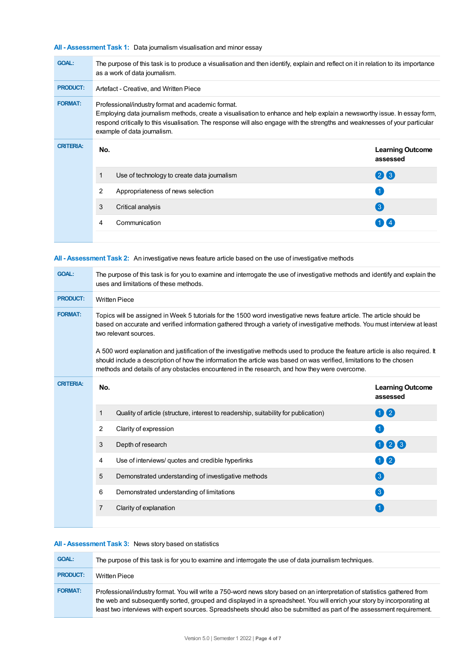**All - Assessment Task 1:** Data journalism visualisation and minor essay

| <b>GOAL:</b>     | The purpose of this task is to produce a visualisation and then identify, explain and reflect on it in relation to its importance<br>as a work of data journalism.                                                                                                                                                                           |                                             |                                     |  |  |  |
|------------------|----------------------------------------------------------------------------------------------------------------------------------------------------------------------------------------------------------------------------------------------------------------------------------------------------------------------------------------------|---------------------------------------------|-------------------------------------|--|--|--|
| <b>PRODUCT:</b>  |                                                                                                                                                                                                                                                                                                                                              | Artefact - Creative, and Written Piece      |                                     |  |  |  |
| <b>FORMAT:</b>   | Professional/industry format and academic format.<br>Employing data journalism methods, create a visualisation to enhance and help explain a newsworthy issue. In essay form,<br>respond critically to this visualisation. The response will also engage with the strengths and weaknesses of your particular<br>example of data journalism. |                                             |                                     |  |  |  |
| <b>CRITERIA:</b> | No.                                                                                                                                                                                                                                                                                                                                          |                                             | <b>Learning Outcome</b><br>assessed |  |  |  |
|                  | $\mathbf{1}$                                                                                                                                                                                                                                                                                                                                 | Use of technology to create data journalism | 26                                  |  |  |  |
|                  | 2                                                                                                                                                                                                                                                                                                                                            | Appropriateness of news selection           |                                     |  |  |  |
|                  | 3                                                                                                                                                                                                                                                                                                                                            | Critical analysis                           | $\left( 3 \right)$                  |  |  |  |
|                  | 4                                                                                                                                                                                                                                                                                                                                            | Communication                               |                                     |  |  |  |
|                  |                                                                                                                                                                                                                                                                                                                                              |                                             |                                     |  |  |  |

| All - Assessment Task 2: An investigative news feature article based on the use of investigative methods |
|----------------------------------------------------------------------------------------------------------|
|----------------------------------------------------------------------------------------------------------|

| <b>GOAL:</b>     | The purpose of this task is for you to examine and interrogate the use of investigative methods and identify and explain the<br>uses and limitations of these methods.                                                                                                                                                                                  |                                                                                     |                                     |  |  |
|------------------|---------------------------------------------------------------------------------------------------------------------------------------------------------------------------------------------------------------------------------------------------------------------------------------------------------------------------------------------------------|-------------------------------------------------------------------------------------|-------------------------------------|--|--|
| <b>PRODUCT:</b>  | <b>Written Piece</b>                                                                                                                                                                                                                                                                                                                                    |                                                                                     |                                     |  |  |
| <b>FORMAT:</b>   | Topics will be assigned in Week 5 tutorials for the 1500 word investigative news feature article. The article should be<br>based on accurate and verified information gathered through a variety of investigative methods. You must interview at least<br>two relevant sources.                                                                         |                                                                                     |                                     |  |  |
|                  | A 500 word explanation and justification of the investigative methods used to produce the feature article is also required. It<br>should include a description of how the information the article was based on was verified, limitations to the chosen<br>methods and details of any obstacles encountered in the research, and how they were overcome. |                                                                                     |                                     |  |  |
| <b>CRITERIA:</b> | No.                                                                                                                                                                                                                                                                                                                                                     |                                                                                     | <b>Learning Outcome</b><br>assessed |  |  |
|                  | 1                                                                                                                                                                                                                                                                                                                                                       | Quality of article (structure, interest to readership, suitability for publication) | 00                                  |  |  |
|                  | 2                                                                                                                                                                                                                                                                                                                                                       | Clarity of expression                                                               | $\vert$ 1                           |  |  |
|                  | 3                                                                                                                                                                                                                                                                                                                                                       | Depth of research                                                                   | 023                                 |  |  |
|                  | 4                                                                                                                                                                                                                                                                                                                                                       | Use of interviews/ quotes and credible hyperlinks                                   | 00                                  |  |  |
|                  | 5                                                                                                                                                                                                                                                                                                                                                       | Demonstrated understanding of investigative methods                                 | 3                                   |  |  |
|                  | 6                                                                                                                                                                                                                                                                                                                                                       | Demonstrated understanding of limitations                                           | 3                                   |  |  |
|                  | 7                                                                                                                                                                                                                                                                                                                                                       | Clarity of explanation                                                              |                                     |  |  |
|                  |                                                                                                                                                                                                                                                                                                                                                         |                                                                                     |                                     |  |  |

## **All - Assessment Task 3:** News story based on statistics

| <b>GOAL:</b>    | The purpose of this task is for you to examine and interrogate the use of data journalism techniques.                                                                                                                                                                                                                                                                          |
|-----------------|--------------------------------------------------------------------------------------------------------------------------------------------------------------------------------------------------------------------------------------------------------------------------------------------------------------------------------------------------------------------------------|
| <b>PRODUCT:</b> | <b>Written Piece</b>                                                                                                                                                                                                                                                                                                                                                           |
| <b>FORMAT:</b>  | Professional/industry format. You will write a 750-word news story based on an interpretation of statistics gathered from<br>the web and subsequently sorted, grouped and displayed in a spreadsheet. You will enrich your story by incorporating at<br>least two interviews with expert sources. Spreadsheets should also be submitted as part of the assessment requirement. |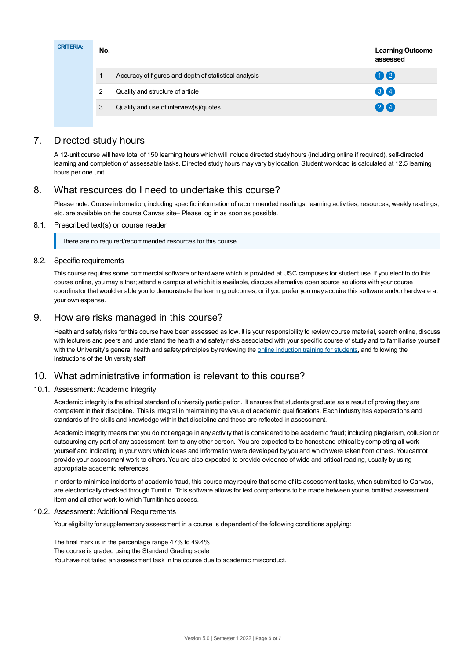| <b>CRITERIA:</b> | No. |                                                       | <b>Learning Outcome</b><br>assessed |
|------------------|-----|-------------------------------------------------------|-------------------------------------|
|                  |     | Accuracy of figures and depth of statistical analysis | 02                                  |
|                  | 2   | Quality and structure of article                      | 34                                  |
|                  | 3   | Quality and use of interview(s)/quotes                | 24                                  |
|                  |     |                                                       |                                     |

# 7. Directed study hours

A 12-unit course will have total of 150 learning hours which will include directed study hours (including online if required), self-directed learning and completion of assessable tasks. Directed study hours may vary by location. Student workload is calculated at 12.5 learning hours per one unit.

# 8. What resources do I need to undertake this course?

Please note: Course information, including specific information of recommended readings, learning activities, resources, weekly readings, etc. are available on the course Canvas site– Please log in as soon as possible.

## 8.1. Prescribed text(s) or course reader

There are no required/recommended resources for this course.

## 8.2. Specific requirements

This course requires some commercial software or hardware which is provided at USC campuses for student use. If you elect to do this course online, you may either; attend a campus at which it is available, discuss alternative open source solutions with your course coordinator that would enable you to demonstrate the learning outcomes, or if you prefer you may acquire this software and/or hardware at your own expense.

## 9. How are risks managed in this course?

Health and safety risks for this course have been assessed as low. It is your responsibility to review course material, search online, discuss with lecturers and peers and understand the health and safety risks associated with your specific course of study and to familiarise yourself with the University's general health and safety principles by reviewing the online [induction](https://online.usc.edu.au/webapps/blackboard/content/listContentEditable.jsp?content_id=_632657_1&course_id=_14432_1) training for students, and following the instructions of the University staff.

## 10. What administrative information is relevant to this course?

## 10.1. Assessment: Academic Integrity

Academic integrity is the ethical standard of university participation. It ensures that students graduate as a result of proving they are competent in their discipline. This is integral in maintaining the value of academic qualifications. Each industry has expectations and standards of the skills and knowledge within that discipline and these are reflected in assessment.

Academic integrity means that you do not engage in any activity that is considered to be academic fraud; including plagiarism, collusion or outsourcing any part of any assessment item to any other person. You are expected to be honest and ethical by completing all work yourself and indicating in your work which ideas and information were developed by you and which were taken from others. You cannot provide your assessment work to others.You are also expected to provide evidence of wide and critical reading, usually by using appropriate academic references.

In order to minimise incidents of academic fraud, this course may require that some of its assessment tasks, when submitted to Canvas, are electronically checked through Turnitin. This software allows for text comparisons to be made between your submitted assessment item and all other work to which Turnitin has access.

#### 10.2. Assessment: Additional Requirements

Your eligibility for supplementary assessment in a course is dependent of the following conditions applying:

The final mark is in the percentage range 47% to 49.4% The course is graded using the Standard Grading scale You have not failed an assessment task in the course due to academic misconduct.